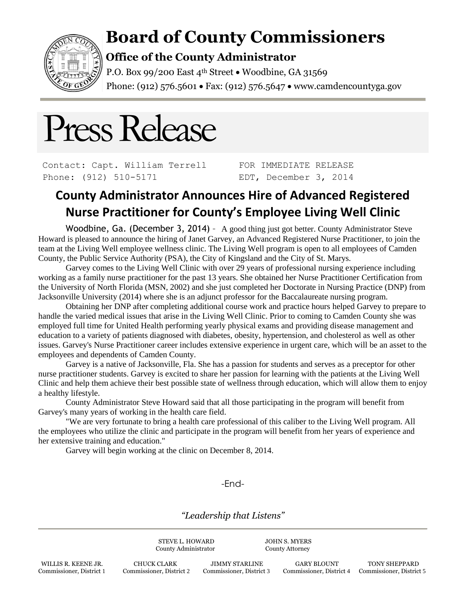

# **Board of County Commissioners**

### **Office of the County Administrator**

P.O. Box 99/200 East  $4<sup>th</sup>$  Street  $\bullet$  Woodbine, GA 31569 Phone: (912) 576.5601 • Fax: (912) 576.5647 • www.camdencountyga.gov

# Press Release

Contact: Capt. William Terrell Phone: (912) 510-5171

FOR IMMEDIATE RELEASE EDT, December 3, 2014

## **County Administrator Announces Hire of Advanced Registered Nurse Practitioner for County's Employee Living Well Clinic**

Woodbine, Ga. (December 3, 2014) - A good thing just got better. County Administrator Steve Howard is pleased to announce the hiring of Janet Garvey, an Advanced Registered Nurse Practitioner, to join the team at the Living Well employee wellness clinic. The Living Well program is open to all employees of Camden County, the Public Service Authority (PSA), the City of Kingsland and the City of St. Marys.

Garvey comes to the Living Well Clinic with over 29 years of professional nursing experience including working as a family nurse practitioner for the past 13 years. She obtained her Nurse Practitioner Certification from the University of North Florida (MSN, 2002) and she just completed her Doctorate in Nursing Practice (DNP) from Jacksonville University (2014) where she is an adjunct professor for the Baccalaureate nursing program.

Obtaining her DNP after completing additional course work and practice hours helped Garvey to prepare to handle the varied medical issues that arise in the Living Well Clinic. Prior to coming to Camden County she was employed full time for United Health performing yearly physical exams and providing disease management and education to a variety of patients diagnosed with diabetes, obesity, hypertension, and cholesterol as well as other issues. Garvey's Nurse Practitioner career includes extensive experience in urgent care, which will be an asset to the employees and dependents of Camden County.

Garvey is a native of Jacksonville, Fla. She has a passion for students and serves as a preceptor for other nurse practitioner students. Garvey is excited to share her passion for learning with the patients at the Living Well Clinic and help them achieve their best possible state of wellness through education, which will allow them to enjoy a healthy lifestyle.

County Administrator Steve Howard said that all those participating in the program will benefit from Garvey's many years of working in the health care field.

"We are very fortunate to bring a health care professional of this caliber to the Living Well program. All the employees who utilize the clinic and participate in the program will benefit from her years of experience and her extensive training and education."

Garvey will begin working at the clinic on December 8, 2014.

-End-

*"Leadership that Listens"*

STEVE L. HOWARD JOHN S. MYERS County Administrator County Attorney